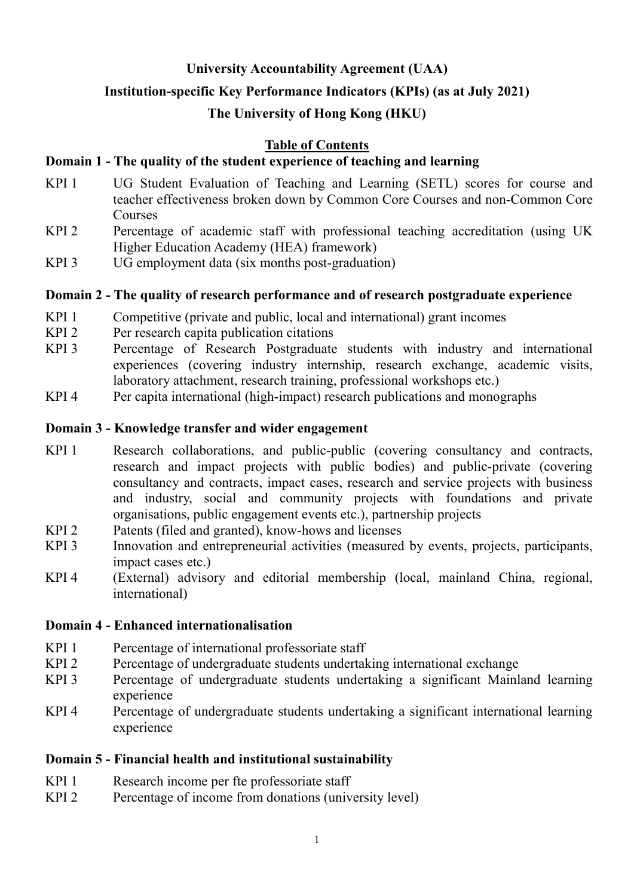## **University Accountability Agreement (UAA)**

## **Institution-specific Key Performance Indicators (KPIs) (as at July 2021)**

## **The University of Hong Kong (HKU)**

## **Table of Contents**

## **Domain 1 - The quality of the student experience of teaching and learning**

- KPI 1 UG Student Evaluation of Teaching and Learning (SETL) scores for course and teacher effectiveness broken down by Common Core Courses and non-Common Core Courses
- KPI 2 Percentage of academic staff with professional teaching accreditation (using UK Higher Education Academy (HEA) framework)
- KPI 3 UG employment data (six months post-graduation)

## **Domain 2 - The quality of research performance and of research postgraduate experience**

- KPI 1 Competitive (private and public, local and international) grant incomes
- KPI 2 Per research capita publication citations
- KPI 3 Percentage of Research Postgraduate students with industry and international experiences (covering industry internship, research exchange, academic visits, laboratory attachment, research training, professional workshops etc.)
- KPI 4 Per capita international (high-impact) research publications and monographs

## **Domain 3 - Knowledge transfer and wider engagement**

- KPI 1 Research collaborations, and public-public (covering consultancy and contracts, research and impact projects with public bodies) and public-private (covering consultancy and contracts, impact cases, research and service projects with business and industry, social and community projects with foundations and private organisations, public engagement events etc.), partnership projects
- KPI 2 Patents (filed and granted), know-hows and licenses
- KPI 3 Innovation and entrepreneurial activities (measured by events, projects, participants, impact cases etc.)
- KPI 4 (External) advisory and editorial membership (local, mainland China, regional, international)

## **Domain 4 - Enhanced internationalisation**

- KPI 1 Percentage of international professoriate staff
- KPI 2 Percentage of undergraduate students undertaking international exchange
- KPI 3 Percentage of undergraduate students undertaking a significant Mainland learning experience
- KPI 4 Percentage of undergraduate students undertaking a significant international learning experience

## **Domain 5 - Financial health and institutional sustainability**

- KPI 1 Research income per fte professoriate staff
- KPI 2 Percentage of income from donations (university level)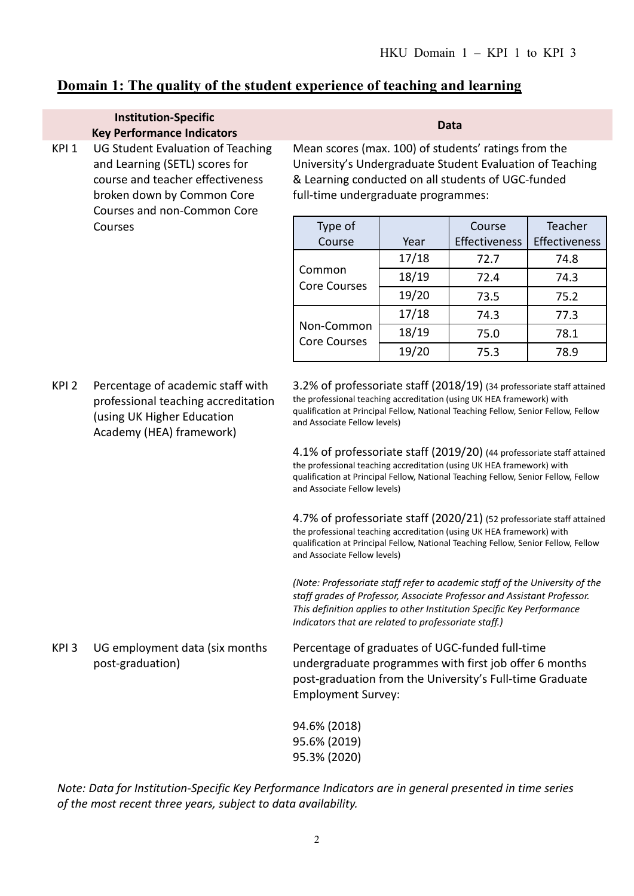## **Domain 1: The quality of the student experience of teaching and learning**

#### **Institution-Specific Key Performance Indicators Data** KPI 1 UG Student Evaluation of Teaching and Learning (SETL) scores for course and teacher effectiveness broken down by Common Core Courses and non-Common Core Courses

Mean scores (max. 100) of students' ratings from the University's Undergraduate Student Evaluation of Teaching & Learning conducted on all students of UGC-funded full-time undergraduate programmes:

| Type of<br>Course                 | Year  | Course<br><b>Effectiveness</b> | Teacher<br>Effectiveness |
|-----------------------------------|-------|--------------------------------|--------------------------|
| Common<br><b>Core Courses</b>     | 17/18 | 72.7                           | 74.8                     |
|                                   | 18/19 | 72.4                           | 74.3                     |
|                                   | 19/20 | 73.5                           | 75.2                     |
| Non-Common<br><b>Core Courses</b> | 17/18 | 74.3                           | 77.3                     |
|                                   | 18/19 | 75.0                           | 78.1                     |
|                                   | 19/20 | 75.3                           | 78.9                     |

KPI 2 Percentage of academic staff with professional teaching accreditation (using UK Higher Education Academy (HEA) framework)

3.2% of professoriate staff (2018/19) (34 professoriate staff attained the professional teaching accreditation (using UK HEA framework) with qualification at Principal Fellow, National Teaching Fellow, Senior Fellow, Fellow and Associate Fellow levels)

4.1% of professoriate staff (2019/20) (44 professoriate staff attained the professional teaching accreditation (using UK HEA framework) with qualification at Principal Fellow, National Teaching Fellow, Senior Fellow, Fellow and Associate Fellow levels)

4.7% of professoriate staff (2020/21) (52 professoriate staff attained the professional teaching accreditation (using UK HEA framework) with qualification at Principal Fellow, National Teaching Fellow, Senior Fellow, Fellow and Associate Fellow levels)

*(Note: Professoriate staff refer to academic staff of the University of the staff grades of Professor, Associate Professor and Assistant Professor. This definition applies to other Institution Specific Key Performance Indicators that are related to professoriate staff.)*

KPI 3 UG employment data (six months post-graduation) Percentage of graduates of UGC-funded full-time undergraduate programmes with first job offer 6 months post-graduation from the University's Full-time Graduate Employment Survey:

> 94.6% (2018) 95.6% (2019) 95.3% (2020)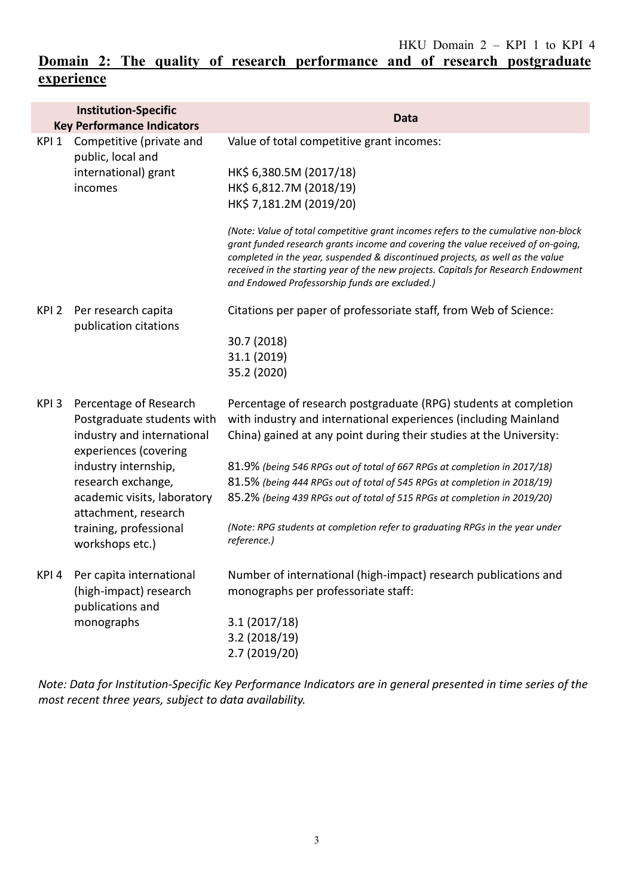## **Domain 2: The quality of research performance and of research postgraduate experience**

|                                           | <b>Institution-Specific</b><br><b>Key Performance Indicators</b>                                                                                                                                                                                              | Data                                                                                                                                                                                                                                                                                                                                                                                             |
|-------------------------------------------|---------------------------------------------------------------------------------------------------------------------------------------------------------------------------------------------------------------------------------------------------------------|--------------------------------------------------------------------------------------------------------------------------------------------------------------------------------------------------------------------------------------------------------------------------------------------------------------------------------------------------------------------------------------------------|
| KPI 1                                     | Competitive (private and<br>public, local and<br>international) grant<br>incomes                                                                                                                                                                              | Value of total competitive grant incomes:                                                                                                                                                                                                                                                                                                                                                        |
|                                           |                                                                                                                                                                                                                                                               | HK\$ 6,380.5M (2017/18)<br>HK\$ 6,812.7M (2018/19)<br>HK\$ 7,181.2M (2019/20)                                                                                                                                                                                                                                                                                                                    |
|                                           |                                                                                                                                                                                                                                                               | (Note: Value of total competitive grant incomes refers to the cumulative non-block<br>grant funded research grants income and covering the value received of on-going,<br>completed in the year, suspended & discontinued projects, as well as the value<br>received in the starting year of the new projects. Capitals for Research Endowment<br>and Endowed Professorship funds are excluded.) |
| KPI <sub>2</sub><br>publication citations | Per research capita                                                                                                                                                                                                                                           | Citations per paper of professoriate staff, from Web of Science:                                                                                                                                                                                                                                                                                                                                 |
|                                           |                                                                                                                                                                                                                                                               | 30.7 (2018)<br>31.1 (2019)<br>35.2 (2020)                                                                                                                                                                                                                                                                                                                                                        |
| KPI <sub>3</sub>                          | Percentage of Research<br>Postgraduate students with<br>industry and international<br>experiences (covering<br>industry internship,<br>research exchange,<br>academic visits, laboratory<br>attachment, research<br>training, professional<br>workshops etc.) | Percentage of research postgraduate (RPG) students at completion<br>with industry and international experiences (including Mainland<br>China) gained at any point during their studies at the University:                                                                                                                                                                                        |
|                                           |                                                                                                                                                                                                                                                               | 81.9% (being 546 RPGs out of total of 667 RPGs at completion in 2017/18)                                                                                                                                                                                                                                                                                                                         |
|                                           |                                                                                                                                                                                                                                                               | 81.5% (being 444 RPGs out of total of 545 RPGs at completion in 2018/19)<br>85.2% (being 439 RPGs out of total of 515 RPGs at completion in 2019/20)                                                                                                                                                                                                                                             |
|                                           |                                                                                                                                                                                                                                                               | (Note: RPG students at completion refer to graduating RPGs in the year under<br>reference.)                                                                                                                                                                                                                                                                                                      |
|                                           | KPI 4 Per capita international<br>(high-impact) research<br>publications and<br>monographs                                                                                                                                                                    | Number of international (high-impact) research publications and<br>monographs per professoriate staff:                                                                                                                                                                                                                                                                                           |
|                                           |                                                                                                                                                                                                                                                               | 3.1(2017/18)<br>3.2(2018/19)<br>2.7 (2019/20)                                                                                                                                                                                                                                                                                                                                                    |
|                                           |                                                                                                                                                                                                                                                               |                                                                                                                                                                                                                                                                                                                                                                                                  |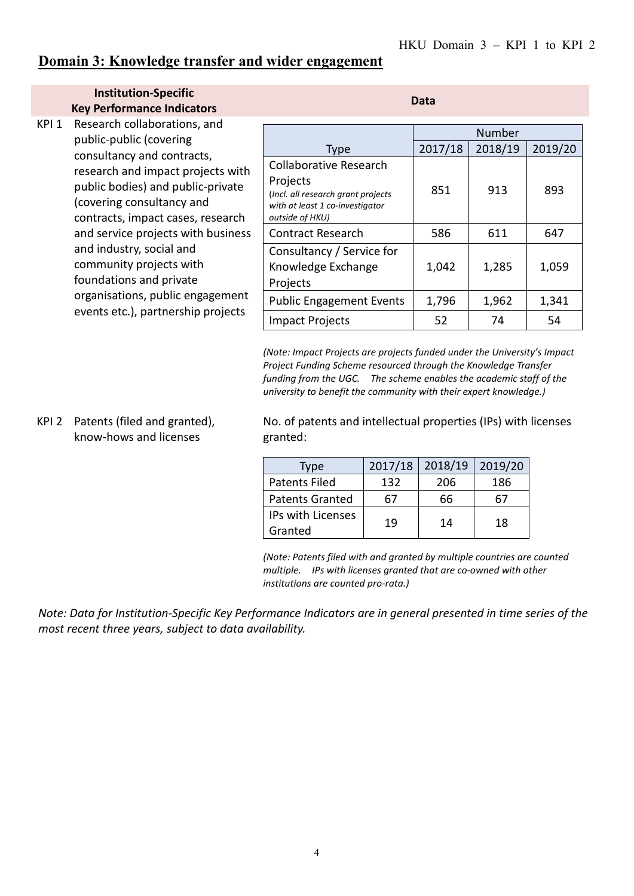## **Domain 3: Knowledge transfer and wider engagement**

#### **Institution-Specific Key Performance Indicators Data**

KPI 1 Research collaborations, and public-public (covering consultancy and contracts, research and impact projects with public bodies) and public-private (covering consultancy and contracts, impact cases, research and service projects with business and industry, social and community projects with foundations and private organisations, public engagement events etc.), partnership projects

| Number  |         |         |
|---------|---------|---------|
| 2017/18 | 2018/19 | 2019/20 |
| 851     | 913     | 893     |
| 586     | 611     | 647     |
| 1,042   | 1,285   | 1,059   |
| 1,796   | 1,962   | 1,341   |
| 52      | 74      | 54      |
|         |         |         |

*(Note: Impact Projects are projects funded under the University's Impact Project Funding Scheme resourced through the Knowledge Transfer funding from the UGC. The scheme enables the academic staff of the university to benefit the community with their expert knowledge.)*

#### KPI 2 Patents (filed and granted), know-hows and licenses

No. of patents and intellectual properties (IPs) with licenses granted:

| Type                   | 2017/18 | 2018/19 | 2019/20 |
|------------------------|---------|---------|---------|
| <b>Patents Filed</b>   | 132     | 206     | 186     |
| <b>Patents Granted</b> | 67      | 66      | 67      |
| IPs with Licenses      | 19      | 14      | 18      |
| Granted                |         |         |         |

*(Note: Patents filed with and granted by multiple countries are counted multiple. IPs with licenses granted that are co-owned with other institutions are counted pro-rata.)*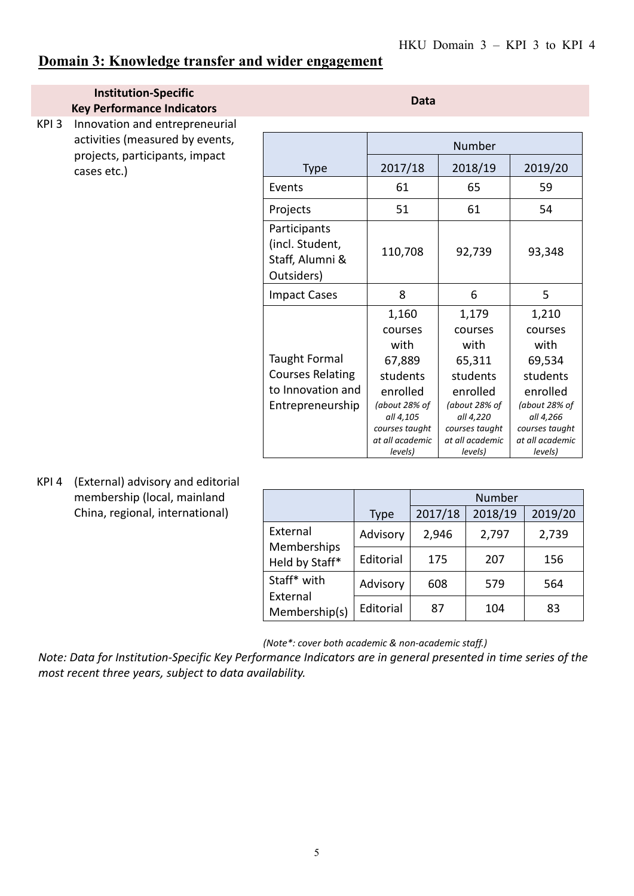## **Domain 3: Knowledge transfer and wider engagement**

# **Institution-Specific**

**Key Performance Indicators**

KPI 3 Innovation and entrepreneurial activities (measured by events, projects, participants, impact cases etc.)

|                                                                                          | Number                                                                                                                                   |                                                                                                                                          |                                                                                                                                          |
|------------------------------------------------------------------------------------------|------------------------------------------------------------------------------------------------------------------------------------------|------------------------------------------------------------------------------------------------------------------------------------------|------------------------------------------------------------------------------------------------------------------------------------------|
| Type                                                                                     | 2017/18                                                                                                                                  | 2018/19                                                                                                                                  | 2019/20                                                                                                                                  |
| Events                                                                                   | 61                                                                                                                                       | 65                                                                                                                                       | 59                                                                                                                                       |
| Projects                                                                                 | 51                                                                                                                                       | 61                                                                                                                                       | 54                                                                                                                                       |
| Participants<br>(incl. Student,<br>Staff, Alumni &<br>Outsiders)                         | 110,708                                                                                                                                  | 92,739                                                                                                                                   | 93,348                                                                                                                                   |
| <b>Impact Cases</b>                                                                      | 8                                                                                                                                        | 6                                                                                                                                        | 5                                                                                                                                        |
| <b>Taught Formal</b><br><b>Courses Relating</b><br>to Innovation and<br>Entrepreneurship | 1,160<br>courses<br>with<br>67,889<br>students<br>enrolled<br>(about 28% of<br>all 4,105<br>courses taught<br>at all academic<br>levels) | 1,179<br>courses<br>with<br>65,311<br>students<br>enrolled<br>(about 28% of<br>all 4,220<br>courses taught<br>at all academic<br>levels) | 1,210<br>courses<br>with<br>69,534<br>students<br>enrolled<br>(about 28% of<br>all 4,266<br>courses taught<br>at all academic<br>levels) |

KPI 4 (External) advisory and editorial membership (local, mainland China, regional, international)

|                                           |             | Number  |         |         |
|-------------------------------------------|-------------|---------|---------|---------|
|                                           | <b>Type</b> | 2017/18 | 2018/19 | 2019/20 |
| External<br>Memberships<br>Held by Staff* | Advisory    | 2,946   | 2,797   | 2,739   |
|                                           | Editorial   | 175     | 207     | 156     |
| Staff* with                               | Advisory    | 608     | 579     | 564     |
| External<br>Membership(s)                 | Editorial   | 87      | 104     | 83      |

*(Note\*: cover both academic & non-academic staff.)*

*Note: Data for Institution-Specific Key Performance Indicators are in general presented in time series of the most recent three years, subject to data availability.*

**Data**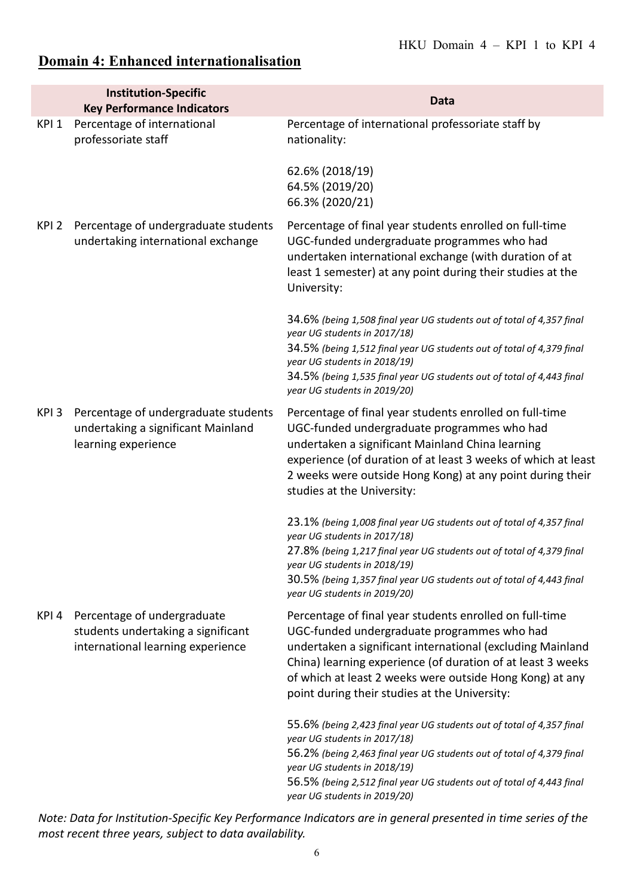# **Domain 4: Enhanced internationalisation**

|                  | <b>Institution-Specific</b><br><b>Key Performance Indicators</b>                                       | <b>Data</b>                                                                                                                                                                                                                                                                                                                                      |
|------------------|--------------------------------------------------------------------------------------------------------|--------------------------------------------------------------------------------------------------------------------------------------------------------------------------------------------------------------------------------------------------------------------------------------------------------------------------------------------------|
| KPI <sub>1</sub> | Percentage of international<br>professoriate staff                                                     | Percentage of international professoriate staff by<br>nationality:                                                                                                                                                                                                                                                                               |
|                  |                                                                                                        | 62.6% (2018/19)<br>64.5% (2019/20)<br>66.3% (2020/21)                                                                                                                                                                                                                                                                                            |
| KPI 2            | Percentage of undergraduate students<br>undertaking international exchange                             | Percentage of final year students enrolled on full-time<br>UGC-funded undergraduate programmes who had<br>undertaken international exchange (with duration of at<br>least 1 semester) at any point during their studies at the<br>University:                                                                                                    |
|                  |                                                                                                        | 34.6% (being 1,508 final year UG students out of total of 4,357 final<br>year UG students in 2017/18)<br>34.5% (being 1,512 final year UG students out of total of 4,379 final<br>year UG students in 2018/19)<br>34.5% (being 1,535 final year UG students out of total of 4,443 final<br>year UG students in 2019/20)                          |
| KPI3             | Percentage of undergraduate students<br>undertaking a significant Mainland<br>learning experience      | Percentage of final year students enrolled on full-time<br>UGC-funded undergraduate programmes who had<br>undertaken a significant Mainland China learning<br>experience (of duration of at least 3 weeks of which at least<br>2 weeks were outside Hong Kong) at any point during their<br>studies at the University:                           |
|                  |                                                                                                        | 23.1% (being 1,008 final year UG students out of total of 4,357 final<br>year UG students in 2017/18)<br>27.8% (being 1,217 final year UG students out of total of 4,379 final<br>year UG students in 2018/19)<br>30.5% (being 1,357 final year UG students out of total of 4,443 final<br>year UG students in 2019/20)                          |
| KPI 4            | Percentage of undergraduate<br>students undertaking a significant<br>international learning experience | Percentage of final year students enrolled on full-time<br>UGC-funded undergraduate programmes who had<br>undertaken a significant international (excluding Mainland<br>China) learning experience (of duration of at least 3 weeks<br>of which at least 2 weeks were outside Hong Kong) at any<br>point during their studies at the University: |
|                  |                                                                                                        | 55.6% (being 2,423 final year UG students out of total of 4,357 final<br>year UG students in 2017/18)<br>56.2% (being 2,463 final year UG students out of total of 4,379 final<br>year UG students in 2018/19)<br>56.5% (being 2,512 final year UG students out of total of 4,443 final<br>year UG students in 2019/20)                          |